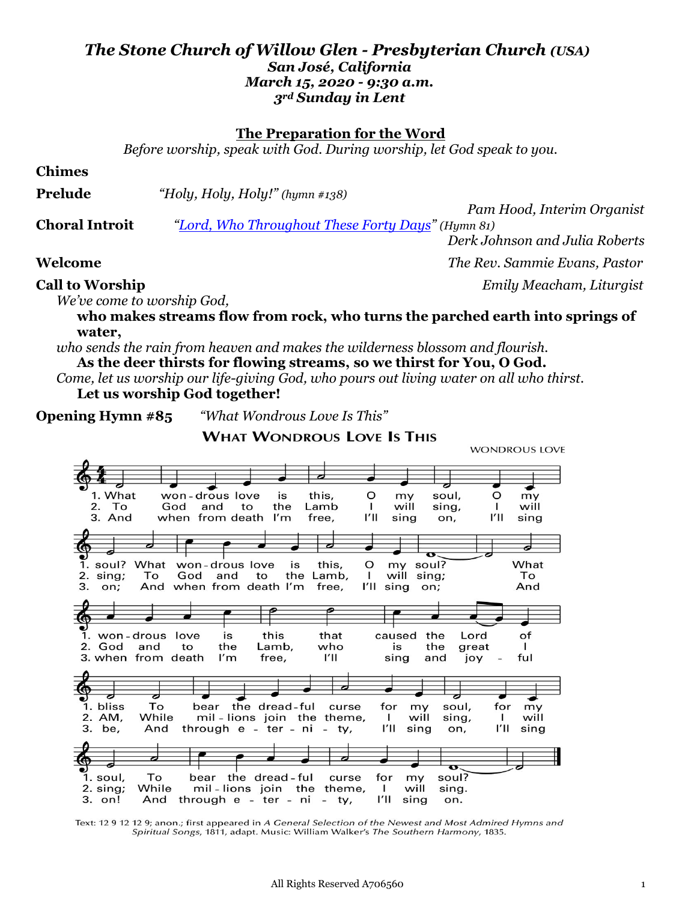### *The Stone Church of Willow Glen - Presbyterian Church (USA) San José, California March 15, 2020 - 9:30 a.m. 3rd Sunday in Lent*

### **The Preparation for the Word**

*Before worship, speak with God. During worship, let God speak to you.* 

### **Chimes**

**Prelude** *"Holy, Holy, Holy!" (hymn #138)*

 *Pam Hood, Interim Organist*

**Choral Introit** *"[Lord, Who Throughout These Forty Days](https://www.youtube.com/watch?v=vAGMA8NrGmU)" (Hymn 81)* 

 *Derk Johnson and Julia Roberts*

**Welcome** *The Rev. Sammie Evans, Pastor*

**Call to Worship** *Emily Meacham, Liturgist*

*We've come to worship God,*

**who makes streams flow from rock, who turns the parched earth into springs of water,**

*who sends the rain from heaven and makes the wilderness blossom and flourish.* **As the deer thirsts for flowing streams, so we thirst for You, O God.**

*Come, let us worship our life-giving God, who pours out living water on all who thirst.* **Let us worship God together!**

**Opening Hymn #85** *"What Wondrous Love Is This"*

### **WHAT WONDROUS LOVE IS THIS**



Text: 12 9 12 12 9; anon.; first appeared in A General Selection of the Newest and Most Admired Hymns and Spiritual Songs, 1811, adapt. Music: William Walker's The Southern Harmony, 1835.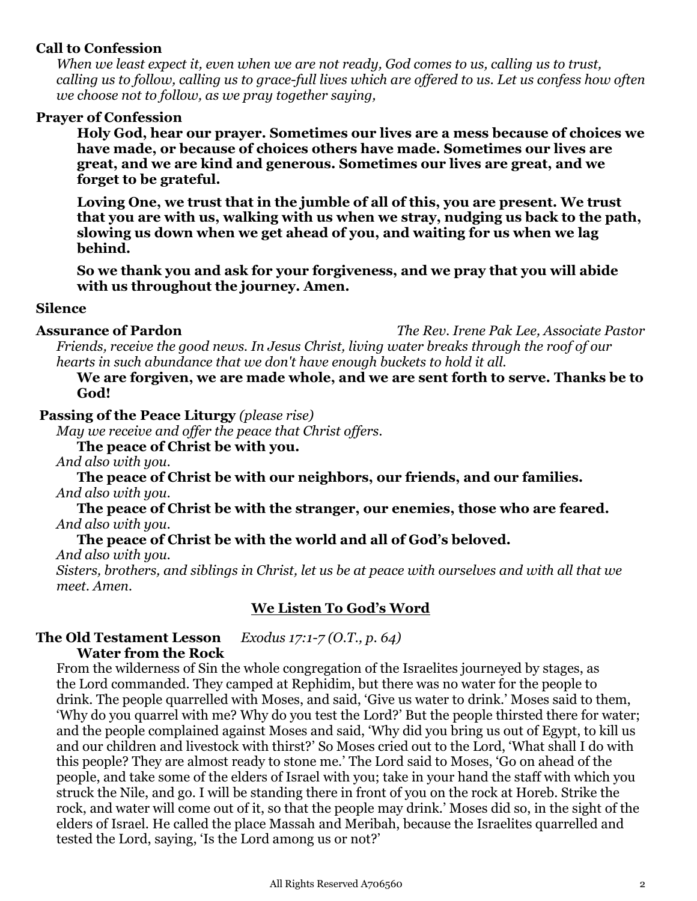### **Call to Confession**

*When we least expect it, even when we are not ready, God comes to us, calling us to trust, calling us to follow, calling us to grace-full lives which are offered to us. Let us confess how often we choose not to follow, as we pray together saying,*

### **Prayer of Confession**

**Holy God, hear our prayer. Sometimes our lives are a mess because of choices we have made, or because of choices others have made. Sometimes our lives are great, and we are kind and generous. Sometimes our lives are great, and we forget to be grateful.**

**Loving One, we trust that in the jumble of all of this, you are present. We trust that you are with us, walking with us when we stray, nudging us back to the path, slowing us down when we get ahead of you, and waiting for us when we lag behind.**

**So we thank you and ask for your forgiveness, and we pray that you will abide with us throughout the journey. Amen.**

### **Silence**

**Assurance of Pardon** *The Rev. Irene Pak Lee, Associate Pastor Friends, receive the good news. In Jesus Christ, living water breaks through the roof of our hearts in such abundance that we don't have enough buckets to hold it all.*

**We are forgiven, we are made whole, and we are sent forth to serve. Thanks be to God!**

### **Passing of the Peace Liturgy** *(please rise)*

*May we receive and offer the peace that Christ offers.*

**The peace of Christ be with you.**

*And also with you.*

**The peace of Christ be with our neighbors, our friends, and our families.** *And also with you.*

**The peace of Christ be with the stranger, our enemies, those who are feared.** *And also with you.*

### **The peace of Christ be with the world and all of God's beloved.**

*And also with you.*

*Sisters, brothers, and siblings in Christ, let us be at peace with ourselves and with all that we meet. Amen.*

### **We Listen To God's Word**

### **The Old Testament Lesson** *Exodus 17:1-7 (O.T., p. 64)* **Water from the Rock**

From the wilderness of Sin the whole congregation of the Israelites journeyed by stages, as the Lord commanded. They camped at Rephidim, but there was no water for the people to drink. The people quarrelled with Moses, and said, 'Give us water to drink.' Moses said to them, 'Why do you quarrel with me? Why do you test the Lord?' But the people thirsted there for water; and the people complained against Moses and said, 'Why did you bring us out of Egypt, to kill us and our children and livestock with thirst?' So Moses cried out to the Lord, 'What shall I do with this people? They are almost ready to stone me.' The Lord said to Moses, 'Go on ahead of the people, and take some of the elders of Israel with you; take in your hand the staff with which you struck the Nile, and go. I will be standing there in front of you on the rock at Horeb. Strike the rock, and water will come out of it, so that the people may drink.' Moses did so, in the sight of the elders of Israel. He called the place Massah and Meribah, because the Israelites quarrelled and tested the Lord, saying, 'Is the Lord among us or not?'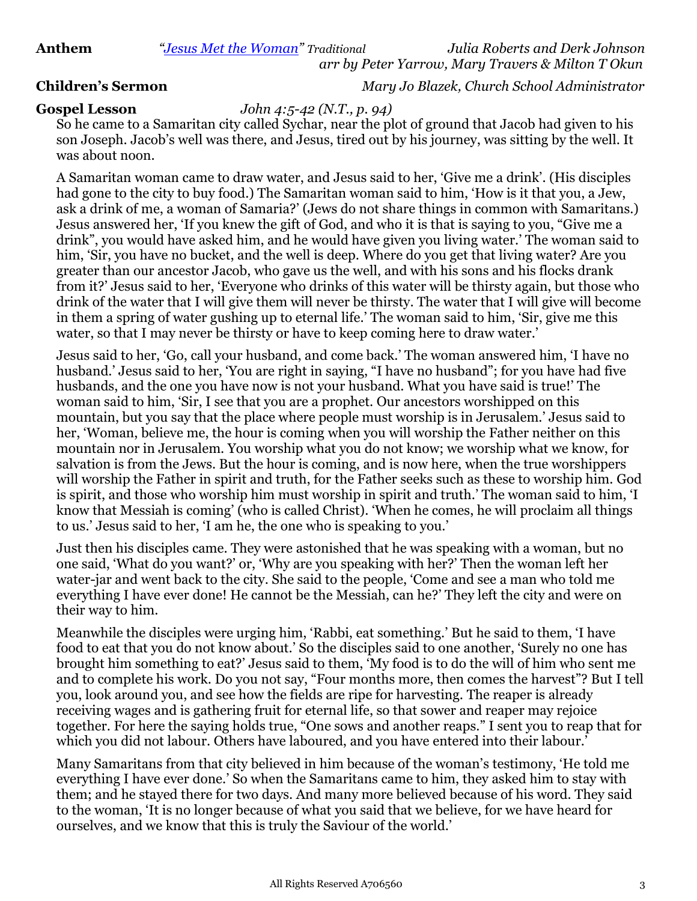**Children's Sermon** *Mary Jo Blazek, Church School Administrator*

### **Gospel Lesson** *John 4:5-42 (N.T., p. 94)*

So he came to a Samaritan city called Sychar, near the plot of ground that Jacob had given to his son Joseph. Jacob's well was there, and Jesus, tired out by his journey, was sitting by the well. It was about noon.

A Samaritan woman came to draw water, and Jesus said to her, 'Give me a drink'. (His disciples had gone to the city to buy food.) The Samaritan woman said to him, 'How is it that you, a Jew, ask a drink of me, a woman of Samaria?' (Jews do not share things in common with Samaritans.) Jesus answered her, 'If you knew the gift of God, and who it is that is saying to you, "Give me a drink", you would have asked him, and he would have given you living water.' The woman said to him, 'Sir, you have no bucket, and the well is deep. Where do you get that living water? Are you greater than our ancestor Jacob, who gave us the well, and with his sons and his flocks drank from it?' Jesus said to her, 'Everyone who drinks of this water will be thirsty again, but those who drink of the water that I will give them will never be thirsty. The water that I will give will become in them a spring of water gushing up to eternal life.' The woman said to him, 'Sir, give me this water, so that I may never be thirsty or have to keep coming here to draw water.'

Jesus said to her, 'Go, call your husband, and come back.' The woman answered him, 'I have no husband.' Jesus said to her, 'You are right in saying, "I have no husband"; for you have had five husbands, and the one you have now is not your husband. What you have said is true!' The woman said to him, 'Sir, I see that you are a prophet. Our ancestors worshipped on this mountain, but you say that the place where people must worship is in Jerusalem.' Jesus said to her, 'Woman, believe me, the hour is coming when you will worship the Father neither on this mountain nor in Jerusalem. You worship what you do not know; we worship what we know, for salvation is from the Jews. But the hour is coming, and is now here, when the true worshippers will worship the Father in spirit and truth, for the Father seeks such as these to worship him. God is spirit, and those who worship him must worship in spirit and truth.' The woman said to him, 'I know that Messiah is coming' (who is called Christ). 'When he comes, he will proclaim all things to us.' Jesus said to her, 'I am he, the one who is speaking to you.'

Just then his disciples came. They were astonished that he was speaking with a woman, but no one said, 'What do you want?' or, 'Why are you speaking with her?' Then the woman left her water-jar and went back to the city. She said to the people, 'Come and see a man who told me everything I have ever done! He cannot be the Messiah, can he?' They left the city and were on their way to him.

Meanwhile the disciples were urging him, 'Rabbi, eat something.' But he said to them, 'I have food to eat that you do not know about.' So the disciples said to one another, 'Surely no one has brought him something to eat?' Jesus said to them, 'My food is to do the will of him who sent me and to complete his work. Do you not say, "Four months more, then comes the harvest"? But I tell you, look around you, and see how the fields are ripe for harvesting. The reaper is already receiving wages and is gathering fruit for eternal life, so that sower and reaper may rejoice together. For here the saying holds true, "One sows and another reaps." I sent you to reap that for which you did not labour. Others have laboured, and you have entered into their labour.'

Many Samaritans from that city believed in him because of the woman's testimony, 'He told me everything I have ever done.' So when the Samaritans came to him, they asked him to stay with them; and he stayed there for two days. And many more believed because of his word. They said to the woman, 'It is no longer because of what you said that we believe, for we have heard for ourselves, and we know that this is truly the Saviour of the world.'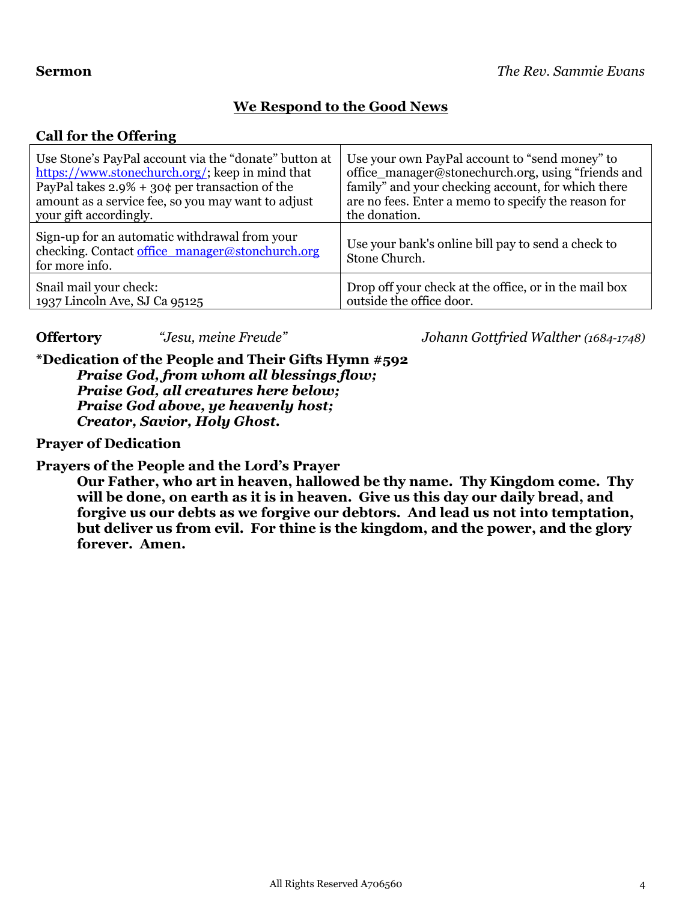## **We Respond to the Good News**

### **Call for the Offering**

| Use Stone's PayPal account via the "donate" button at                                                              | Use your own PayPal account to "send money" to                      |
|--------------------------------------------------------------------------------------------------------------------|---------------------------------------------------------------------|
| https://www.stonechurch.org/; keep in mind that                                                                    | office_manager@stonechurch.org, using "friends and                  |
| PayPal takes $2.9\% + 30¢$ per transaction of the                                                                  | family" and your checking account, for which there                  |
| amount as a service fee, so you may want to adjust                                                                 | are no fees. Enter a memo to specify the reason for                 |
| your gift accordingly.                                                                                             | the donation.                                                       |
| Sign-up for an automatic withdrawal from your<br>checking. Contact office manager@stonchurch.org<br>for more info. | Use your bank's online bill pay to send a check to<br>Stone Church. |
| Snail mail your check:                                                                                             | Drop off your check at the office, or in the mail box               |
| 1937 Lincoln Ave, SJ Ca 95125                                                                                      | outside the office door.                                            |

**Offertory** *"Jesu, meine Freude" Johann Gottfried Walther (1684-1748)*

**\*Dedication of the People and Their Gifts Hymn #592**  *Praise God, from whom all blessings flow; Praise God, all creatures here below; Praise God above, ye heavenly host; Creator, Savior, Holy Ghost.*

### **Prayer of Dedication**

### **Prayers of the People and the Lord's Prayer**

**Our Father, who art in heaven, hallowed be thy name. Thy Kingdom come. Thy will be done, on earth as it is in heaven. Give us this day our daily bread, and forgive us our debts as we forgive our debtors. And lead us not into temptation, but deliver us from evil. For thine is the kingdom, and the power, and the glory forever. Amen.**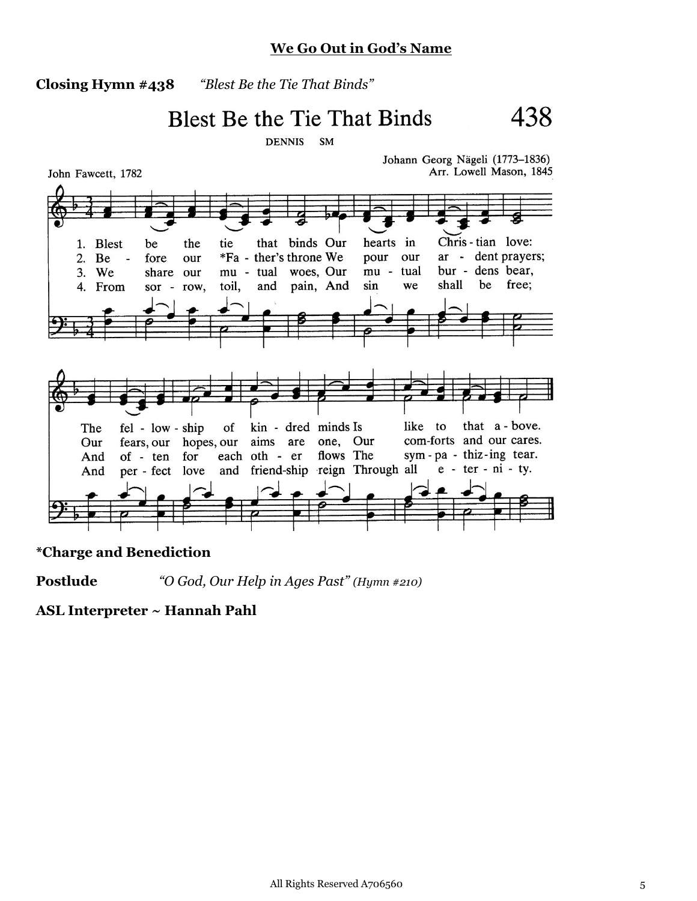### **We Go Out in God's Name**

**Closing Hymn #438** *"Blest Be the Tie That Binds"*

# **Blest Be the Tie That Binds**





### **\*Charge and Benediction**

**Postlude** *"O God, Our Help in Ages Past" (Hymn #210)*

### **ASL Interpreter ~ Hannah Pahl**